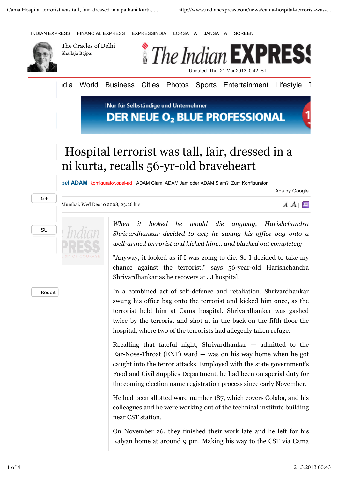